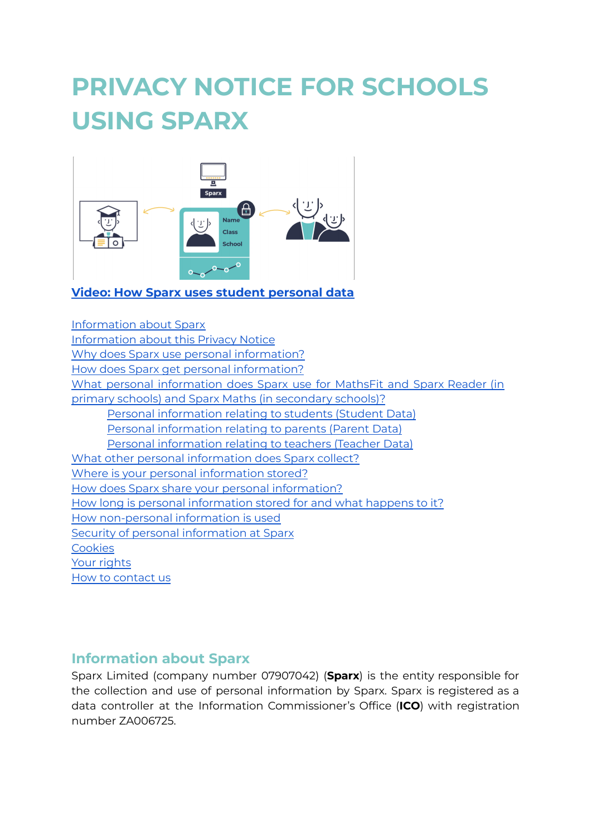# **PRIVACY NOTICE FOR SCHOOLS USING SPARX**



#### **Video: How Sparx uses student [personal](https://5530880.fs1.hubspotusercontent-na1.net/hubfs/5530880/privacy_video_v1%20(1).mp4) data**

[Information](#page-0-0) about Sparx [Information](#page-1-0) about this Privacy Notice Why does Sparx use personal [information?](#page-1-1) How does Sparx get personal [information?](#page-2-0) What personal [information](#page-2-1) does Sparx use for MathsFit and Sparx Reader (in primary schools) and Sparx Maths (in [secondary](#page-2-1) schools)? Personal [information](#page-2-2) relating to students (Student Data) Personal [information](#page-3-0) relating to parents (Parent Data) Personal [information](#page-4-0) relating to teachers (Teacher Data) What other personal [information](#page-4-1) does Sparx collect? Where is your personal [information](#page-5-0) stored? How does Sparx share your personal [information?](#page-6-0) How long is personal [information](#page-6-1) stored for and what happens to it? How [non-personal](#page-7-0) information is used Security of personal [information](#page-7-1) at Sparx **[Cookies](#page-7-2)** Your [rights](#page-8-0) How to [contact](#page-9-0) us

## <span id="page-0-0"></span>**Information about Sparx**

Sparx Limited (company number 07907042) (**Sparx**) is the entity responsible for the collection and use of personal information by Sparx. Sparx is registered as a data controller at the Information Commissioner's Office (**ICO**) with registration number ZA006725.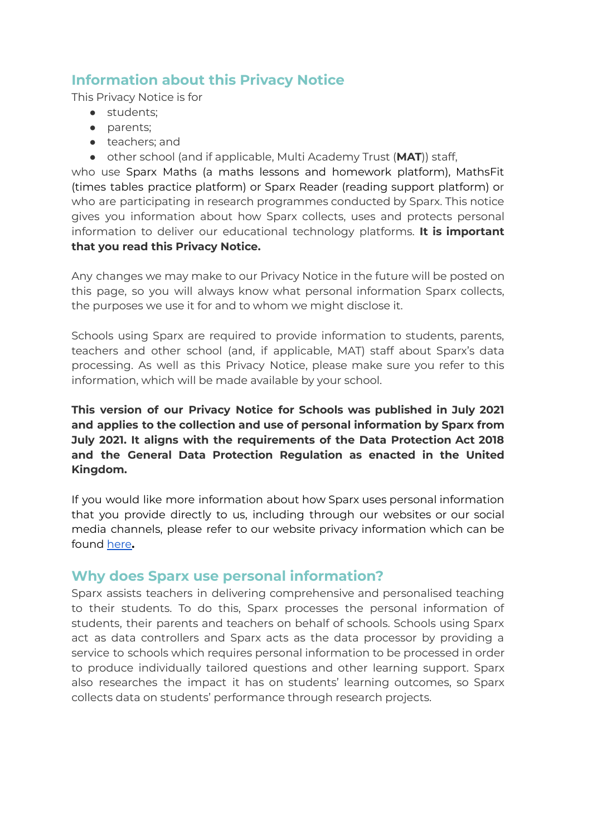# <span id="page-1-0"></span>**Information about this Privacy Notice**

This Privacy Notice is for

- students;
- parents;
- teachers; and
- other school (and if applicable, Multi Academy Trust (**MAT**)) staff,

who use Sparx Maths (a maths lessons and homework platform), MathsFit (times tables practice platform) or Sparx Reader (reading support platform) or who are participating in research programmes conducted by Sparx. This notice gives you information about how Sparx collects, uses and protects personal information to deliver our educational technology platforms. **It is important that you read this Privacy Notice.**

Any changes we may make to our Privacy Notice in the future will be posted on this page, so you will always know what personal information Sparx collects, the purposes we use it for and to whom we might disclose it.

Schools using Sparx are required to provide information to students, parents, teachers and other school (and, if applicable, MAT) staff about Sparx's data processing. As well as this Privacy Notice, please make sure you refer to this information, which will be made available by your school.

**This version of our Privacy Notice for Schools was published in July 2021 and applies to the collection and use of personal information by Sparx from July 2021. It aligns with the requirements of the Data Protection Act 2018 and the General Data Protection Regulation as enacted in the United Kingdom.**

If you would like more information about how Sparx uses personal information that you provide directly to us, including through our websites or our social media channels, please refer to our website privacy information which can be found [here](https://f.hubspotusercontent30.net/hubfs/5530880/Website%20Privacy%20Docs/Privacy-Notice-June-2021.pdf)**.**

## <span id="page-1-1"></span>**Why does Sparx use personal information?**

Sparx assists teachers in delivering comprehensive and personalised teaching to their students. To do this, Sparx processes the personal information of students, their parents and teachers on behalf of schools. Schools using Sparx act as data controllers and Sparx acts as the data processor by providing a service to schools which requires personal information to be processed in order to produce individually tailored questions and other learning support. Sparx also researches the impact it has on students' learning outcomes, so Sparx collects data on students' performance through research projects.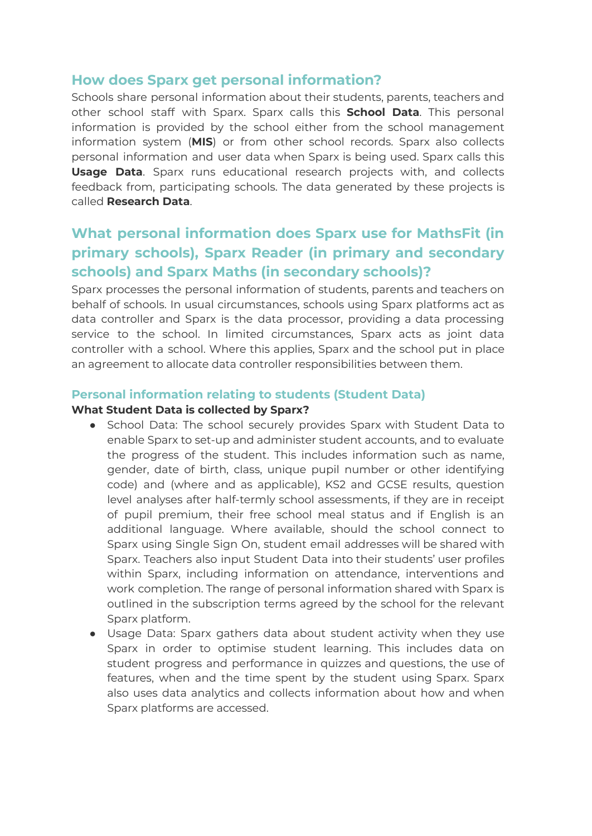## <span id="page-2-0"></span>**How does Sparx get personal information?**

Schools share personal information about their students, parents, teachers and other school staff with Sparx. Sparx calls this **School Data**. This personal information is provided by the school either from the school management information system (**MIS**) or from other school records. Sparx also collects personal information and user data when Sparx is being used. Sparx calls this **Usage Data**. Sparx runs educational research projects with, and collects feedback from, participating schools. The data generated by these projects is called **Research Data**.

# <span id="page-2-1"></span>**What personal information does Sparx use for MathsFit (in primary schools), Sparx Reader (in primary and secondary schools) and Sparx Maths (in secondary schools)?**

Sparx processes the personal information of students, parents and teachers on behalf of schools. In usual circumstances, schools using Sparx platforms act as data controller and Sparx is the data processor, providing a data processing service to the school. In limited circumstances, Sparx acts as joint data controller with a school. Where this applies, Sparx and the school put in place an agreement to allocate data controller responsibilities between them.

## <span id="page-2-2"></span>**Personal information relating to students (Student Data)**

#### **What Student Data is collected by Sparx?**

- School Data: The school securely provides Sparx with Student Data to enable Sparx to set-up and administer student accounts, and to evaluate the progress of the student. This includes information such as name, gender, date of birth, class, unique pupil number or other identifying code) and (where and as applicable), KS2 and GCSE results, question level analyses after half-termly school assessments, if they are in receipt of pupil premium, their free school meal status and if English is an additional language. Where available, should the school connect to Sparx using Single Sign On, student email addresses will be shared with Sparx. Teachers also input Student Data into their students' user profiles within Sparx, including information on attendance, interventions and work completion. The range of personal information shared with Sparx is outlined in the subscription terms agreed by the school for the relevant Sparx platform.
- Usage Data: Sparx gathers data about student activity when they use Sparx in order to optimise student learning. This includes data on student progress and performance in quizzes and questions, the use of features, when and the time spent by the student using Sparx. Sparx also uses data analytics and collects information about how and when Sparx platforms are accessed.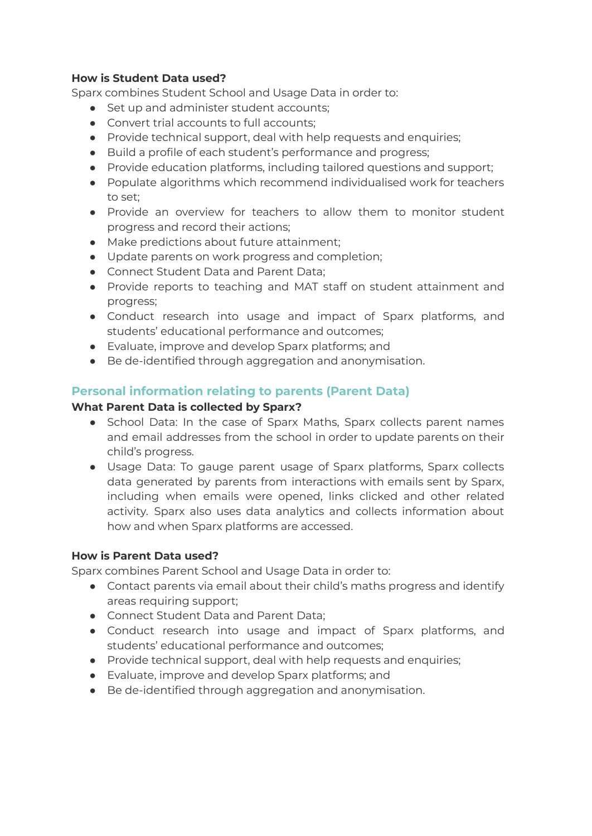#### **How is Student Data used?**

Sparx combines Student School and Usage Data in order to:

- Set up and administer student accounts;
- Convert trial accounts to full accounts;
- Provide technical support, deal with help requests and enquiries;
- Build a profile of each student's performance and progress;
- Provide education platforms, including tailored questions and support;
- Populate algorithms which recommend individualised work for teachers to set;
- Provide an overview for teachers to allow them to monitor student progress and record their actions;
- Make predictions about future attainment;
- Update parents on work progress and completion;
- Connect Student Data and Parent Data;
- Provide reports to teaching and MAT staff on student attainment and progress;
- Conduct research into usage and impact of Sparx platforms, and students' educational performance and outcomes;
- Evaluate, improve and develop Sparx platforms; and
- Be de-identified through aggregation and anonymisation.

## <span id="page-3-0"></span>**Personal information relating to parents (Parent Data)**

#### **What Parent Data is collected by Sparx?**

- School Data: In the case of Sparx Maths, Sparx collects parent names and email addresses from the school in order to update parents on their child's progress.
- Usage Data: To gauge parent usage of Sparx platforms, Sparx collects data generated by parents from interactions with emails sent by Sparx, including when emails were opened, links clicked and other related activity. Sparx also uses data analytics and collects information about how and when Sparx platforms are accessed.

#### **How is Parent Data used?**

Sparx combines Parent School and Usage Data in order to:

- Contact parents via email about their child's maths progress and identify areas requiring support;
- Connect Student Data and Parent Data;
- Conduct research into usage and impact of Sparx platforms, and students' educational performance and outcomes;
- Provide technical support, deal with help requests and enquiries;
- Evaluate, improve and develop Sparx platforms; and
- Be de-identified through aggregation and anonymisation.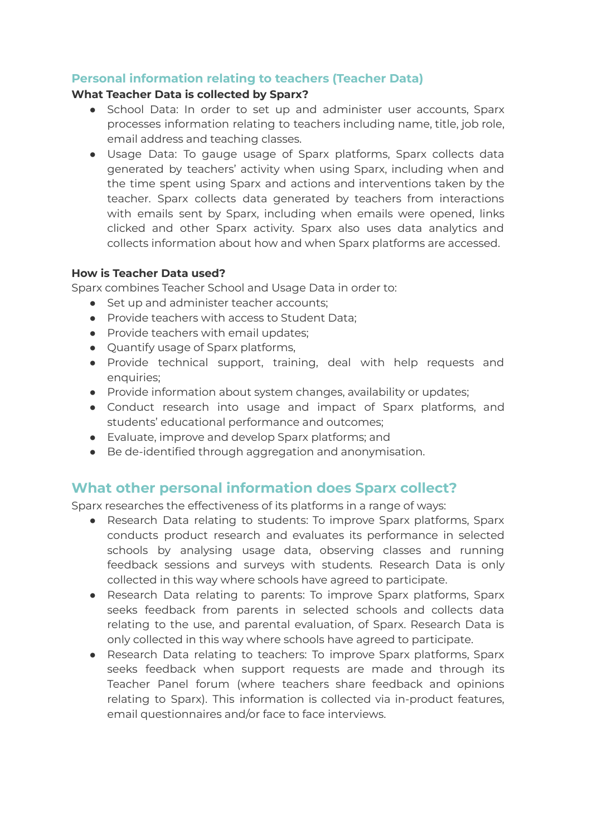## <span id="page-4-0"></span>**Personal information relating to teachers (Teacher Data)**

#### **What Teacher Data is collected by Sparx?**

- School Data: In order to set up and administer user accounts, Sparx processes information relating to teachers including name, title, job role, email address and teaching classes.
- Usage Data: To gauge usage of Sparx platforms, Sparx collects data generated by teachers' activity when using Sparx, including when and the time spent using Sparx and actions and interventions taken by the teacher. Sparx collects data generated by teachers from interactions with emails sent by Sparx, including when emails were opened, links clicked and other Sparx activity. Sparx also uses data analytics and collects information about how and when Sparx platforms are accessed.

#### **How is Teacher Data used?**

Sparx combines Teacher School and Usage Data in order to:

- Set up and administer teacher accounts;
- Provide teachers with access to Student Data;
- Provide teachers with email updates;
- Quantify usage of Sparx platforms,
- Provide technical support, training, deal with help requests and enquiries;
- Provide information about system changes, availability or updates;
- Conduct research into usage and impact of Sparx platforms, and students' educational performance and outcomes;
- Evaluate, improve and develop Sparx platforms; and
- Be de-identified through aggregation and anonymisation.

# <span id="page-4-1"></span>**What other personal information does Sparx collect?**

Sparx researches the effectiveness of its platforms in a range of ways:

- Research Data relating to students: To improve Sparx platforms, Sparx conducts product research and evaluates its performance in selected schools by analysing usage data, observing classes and running feedback sessions and surveys with students. Research Data is only collected in this way where schools have agreed to participate.
- Research Data relating to parents: To improve Sparx platforms, Sparx seeks feedback from parents in selected schools and collects data relating to the use, and parental evaluation, of Sparx. Research Data is only collected in this way where schools have agreed to participate.
- Research Data relating to teachers: To improve Sparx platforms, Sparx seeks feedback when support requests are made and through its Teacher Panel forum (where teachers share feedback and opinions relating to Sparx). This information is collected via in-product features, email questionnaires and/or face to face interviews.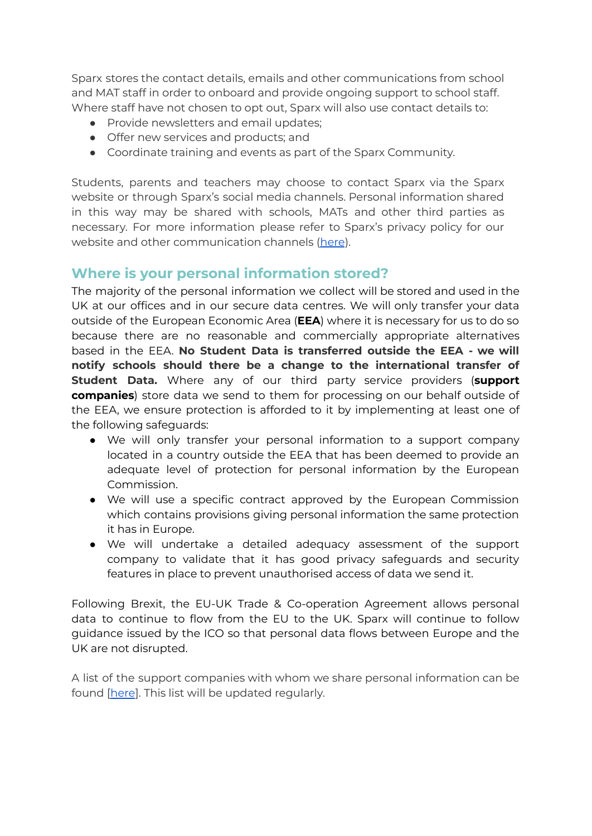Sparx stores the contact details, emails and other communications from school and MAT staff in order to onboard and provide ongoing support to school staff. Where staff have not chosen to opt out, Sparx will also use contact details to:

- Provide newsletters and email updates;
- Offer new services and products; and
- Coordinate training and events as part of the Sparx Community.

Students, parents and teachers may choose to contact Sparx via the Sparx website or through Sparx's social media channels. Personal information shared in this way may be shared with schools, MATs and other third parties as necessary. For more information please refer to Sparx's privacy policy for our website and other communication channels [\(here](https://f.hubspotusercontent30.net/hubfs/5530880/Website%20Privacy%20Docs/Privacy-Notice-June-2021.pdf)).

# <span id="page-5-0"></span>**Where is your personal information stored?**

The majority of the personal information we collect will be stored and used in the UK at our offices and in our secure data centres. We will only transfer your data outside of the European Economic Area (**EEA**) where it is necessary for us to do so because there are no reasonable and commercially appropriate alternatives based in the EEA. **No Student Data is transferred outside the EEA - we will notify schools should there be a change to the international transfer of Student Data.** Where any of our third party service providers (**support companies**) store data we send to them for processing on our behalf outside of the EEA, we ensure protection is afforded to it by implementing at least one of the following safeguards:

- We will only transfer your personal information to a support company located in a country outside the EEA that has been deemed to provide an adequate level of protection for personal information by the European Commission.
- We will use a specific contract approved by the European Commission which contains provisions giving personal information the same protection it has in Europe.
- We will undertake a detailed adequacy assessment of the support company to validate that it has good privacy safeguards and security features in place to prevent unauthorised access of data we send it.

Following Brexit, the EU-UK Trade & Co-operation Agreement allows personal data to continue to flow from the EU to the UK. Sparx will continue to follow guidance issued by the ICO so that personal data flows between Europe and the UK are not disrupted.

A list of the support companies with whom we share personal information can be found [\[here](https://f.hubspotusercontent30.net/hubfs/5530880/Website%20Privacy%20Docs/Support%20companies%20that%20Sparx%20shares%20personal%20information%20with%20(1).pdf)]. This list will be updated regularly.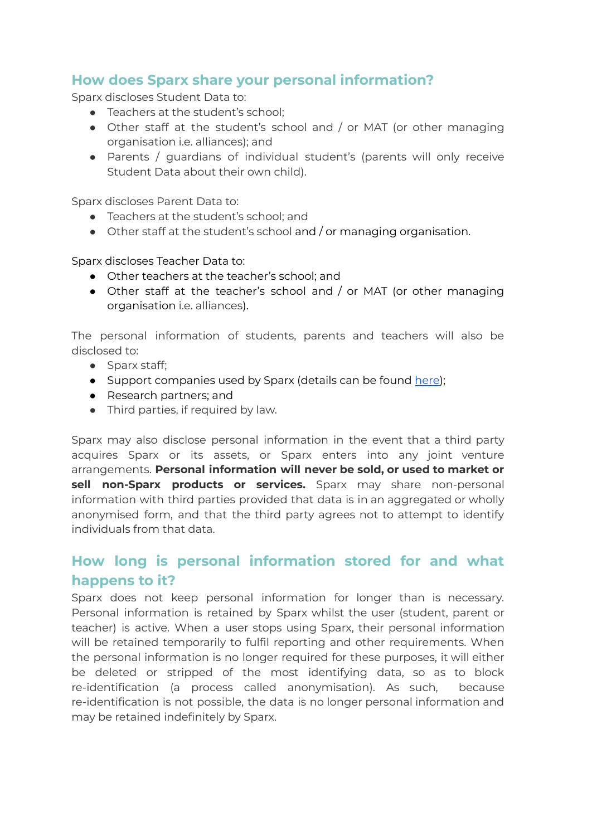# <span id="page-6-0"></span>**How does Sparx share your personal information?**

Sparx discloses Student Data to:

- Teachers at the student's school;
- Other staff at the student's school and / or MAT (or other managing organisation i.e. alliances); and
- Parents / guardians of individual student's (parents will only receive Student Data about their own child).

Sparx discloses Parent Data to:

- Teachers at the student's school; and
- Other staff at the student's school and / or managing organisation.

Sparx discloses Teacher Data to:

- Other teachers at the teacher's school; and
- Other staff at the teacher's school and / or MAT (or other managing organisation i.e. alliances).

The personal information of students, parents and teachers will also be disclosed to:

- Sparx staff;
- Support companies used by Sparx (details can be found [here\)](https://f.hubspotusercontent30.net/hubfs/5530880/Website%20Privacy%20Docs/Support%20companies%20that%20Sparx%20shares%20personal%20information%20with%20(1).pdf);
- Research partners; and
- Third parties, if required by law.

Sparx may also disclose personal information in the event that a third party acquires Sparx or its assets, or Sparx enters into any joint venture arrangements. **Personal information will never be sold, or used to market or sell non-Sparx products or services.** Sparx may share non-personal information with third parties provided that data is in an aggregated or wholly anonymised form, and that the third party agrees not to attempt to identify individuals from that data.

# <span id="page-6-1"></span>**How long is personal information stored for and what happens to it?**

Sparx does not keep personal information for longer than is necessary. Personal information is retained by Sparx whilst the user (student, parent or teacher) is active. When a user stops using Sparx, their personal information will be retained temporarily to fulfil reporting and other requirements. When the personal information is no longer required for these purposes, it will either be deleted or stripped of the most identifying data, so as to block re-identification (a process called anonymisation). As such, because re-identification is not possible, the data is no longer personal information and may be retained indefinitely by Sparx.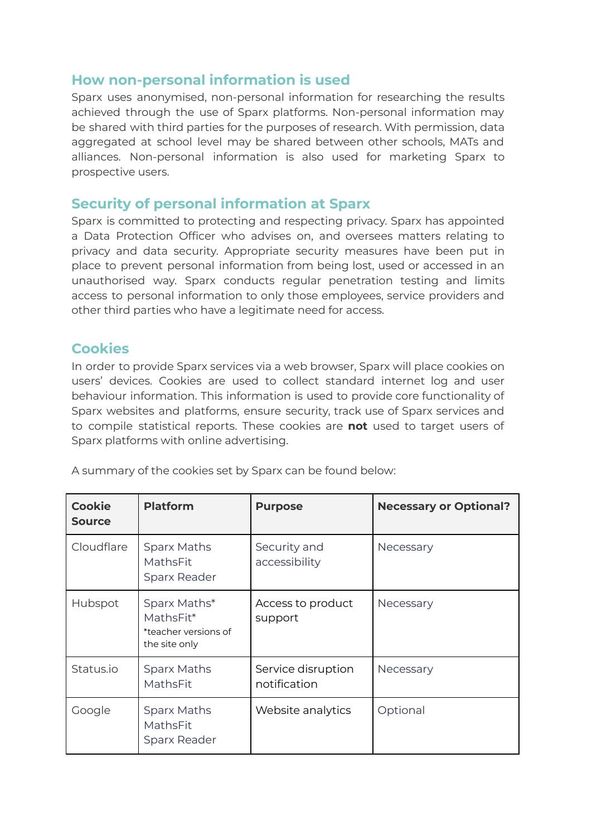## <span id="page-7-0"></span>**How non-personal information is used**

Sparx uses anonymised, non-personal information for researching the results achieved through the use of Sparx platforms. Non-personal information may be shared with third parties for the purposes of research. With permission, data aggregated at school level may be shared between other schools, MATs and alliances. Non-personal information is also used for marketing Sparx to prospective users.

## <span id="page-7-1"></span>**Security of personal information at Sparx**

Sparx is committed to protecting and respecting privacy. Sparx has appointed a Data Protection Officer who advises on, and oversees matters relating to privacy and data security. Appropriate security measures have been put in place to prevent personal information from being lost, used or accessed in an unauthorised way. Sparx conducts regular penetration testing and limits access to personal information to only those employees, service providers and other third parties who have a legitimate need for access.

## <span id="page-7-2"></span>**Cookies**

In order to provide Sparx services via a web browser, Sparx will place cookies on users' devices. Cookies are used to collect standard internet log and user behaviour information. This information is used to provide core functionality of Sparx websites and platforms, ensure security, track use of Sparx services and to compile statistical reports. These cookies are **not** used to target users of Sparx platforms with online advertising.

| <b>Cookie</b><br><b>Source</b> | <b>Platform</b>                                                    | <b>Purpose</b>                     | <b>Necessary or Optional?</b> |
|--------------------------------|--------------------------------------------------------------------|------------------------------------|-------------------------------|
| Cloudflare                     | <b>Sparx Maths</b><br>MathsFit<br>Sparx Reader                     | Security and<br>accessibility      | Necessary                     |
| Hubspot                        | Sparx Maths*<br>MathsFit*<br>*teacher versions of<br>the site only | Access to product<br>support       | Necessary                     |
| Status.io                      | <b>Sparx Maths</b><br>MathsFit                                     | Service disruption<br>notification | Necessary                     |
| Google                         | <b>Sparx Maths</b><br>MathsFit<br>Sparx Reader                     | Website analytics                  | Optional                      |

A summary of the cookies set by Sparx can be found below: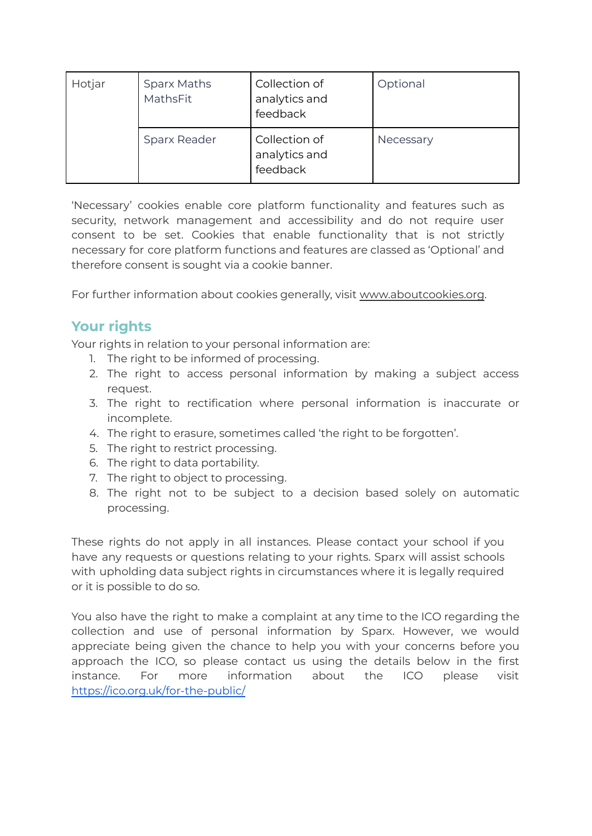| Hotjar | <b>Sparx Maths</b><br>MathsFit | Collection of<br>analytics and<br>feedback | Optional  |
|--------|--------------------------------|--------------------------------------------|-----------|
|        | <b>Sparx Reader</b>            | Collection of<br>analytics and<br>feedback | Necessary |

'Necessary' cookies enable core platform functionality and features such as security, network management and accessibility and do not require user consent to be set. Cookies that enable functionality that is not strictly necessary for core platform functions and features are classed as 'Optional' and therefore consent is sought via a cookie banner.

For further information about cookies generally, visit [www.aboutcookies.org.](http://www.aboutcookies.org/)

# <span id="page-8-0"></span>**Your rights**

Your rights in relation to your personal information are:

- 1. The right to be informed of processing.
- 2. The right to access personal information by making a subject access request.
- 3. The right to rectification where personal information is inaccurate or incomplete.
- 4. The right to erasure, sometimes called 'the right to be forgotten'.
- 5. The right to restrict processing.
- 6. The right to data portability.
- 7. The right to object to processing.
- 8. The right not to be subject to a decision based solely on automatic processing.

These rights do not apply in all instances. Please contact your school if you have any requests or questions relating to your rights. Sparx will assist schools with upholding data subject rights in circumstances where it is legally required or it is possible to do so.

You also have the right to make a complaint at any time to the ICO regarding the collection and use of personal information by Sparx. However, we would appreciate being given the chance to help you with your concerns before you approach the ICO, so please contact us using the details below in the first instance. For more information about the ICO please visit <https://ico.org.uk/for-the-public/>